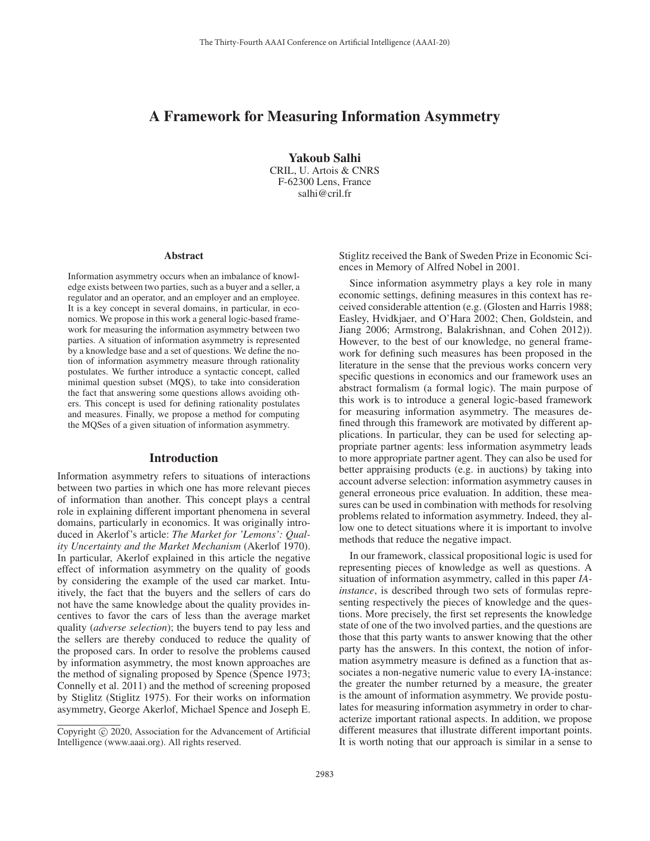# A Framework for Measuring Information Asymmetry

Yakoub Salhi CRIL, U. Artois & CNRS F-62300 Lens, France salhi@cril.fr

#### Abstract

Information asymmetry occurs when an imbalance of knowledge exists between two parties, such as a buyer and a seller, a regulator and an operator, and an employer and an employee. It is a key concept in several domains, in particular, in economics. We propose in this work a general logic-based framework for measuring the information asymmetry between two parties. A situation of information asymmetry is represented by a knowledge base and a set of questions. We define the notion of information asymmetry measure through rationality postulates. We further introduce a syntactic concept, called minimal question subset (MQS), to take into consideration the fact that answering some questions allows avoiding others. This concept is used for defining rationality postulates and measures. Finally, we propose a method for computing the MQSes of a given situation of information asymmetry.

## **Introduction**

Information asymmetry refers to situations of interactions between two parties in which one has more relevant pieces of information than another. This concept plays a central role in explaining different important phenomena in several domains, particularly in economics. It was originally introduced in Akerlof's article: *The Market for 'Lemons': Quality Uncertainty and the Market Mechanism* (Akerlof 1970). In particular, Akerlof explained in this article the negative effect of information asymmetry on the quality of goods by considering the example of the used car market. Intuitively, the fact that the buyers and the sellers of cars do not have the same knowledge about the quality provides incentives to favor the cars of less than the average market quality (*adverse selection*); the buyers tend to pay less and the sellers are thereby conduced to reduce the quality of the proposed cars. In order to resolve the problems caused by information asymmetry, the most known approaches are the method of signaling proposed by Spence (Spence 1973; Connelly et al. 2011) and the method of screening proposed by Stiglitz (Stiglitz 1975). For their works on information asymmetry, George Akerlof, Michael Spence and Joseph E.

Stiglitz received the Bank of Sweden Prize in Economic Sciences in Memory of Alfred Nobel in 2001.

Since information asymmetry plays a key role in many economic settings, defining measures in this context has received considerable attention (e.g. (Glosten and Harris 1988; Easley, Hvidkjaer, and O'Hara 2002; Chen, Goldstein, and Jiang 2006; Armstrong, Balakrishnan, and Cohen 2012)). However, to the best of our knowledge, no general framework for defining such measures has been proposed in the literature in the sense that the previous works concern very specific questions in economics and our framework uses an abstract formalism (a formal logic). The main purpose of this work is to introduce a general logic-based framework for measuring information asymmetry. The measures defined through this framework are motivated by different applications. In particular, they can be used for selecting appropriate partner agents: less information asymmetry leads to more appropriate partner agent. They can also be used for better appraising products (e.g. in auctions) by taking into account adverse selection: information asymmetry causes in general erroneous price evaluation. In addition, these measures can be used in combination with methods for resolving problems related to information asymmetry. Indeed, they allow one to detect situations where it is important to involve methods that reduce the negative impact.

In our framework, classical propositional logic is used for representing pieces of knowledge as well as questions. A situation of information asymmetry, called in this paper *IAinstance*, is described through two sets of formulas representing respectively the pieces of knowledge and the questions. More precisely, the first set represents the knowledge state of one of the two involved parties, and the questions are those that this party wants to answer knowing that the other party has the answers. In this context, the notion of information asymmetry measure is defined as a function that associates a non-negative numeric value to every IA-instance: the greater the number returned by a measure, the greater is the amount of information asymmetry. We provide postulates for measuring information asymmetry in order to characterize important rational aspects. In addition, we propose different measures that illustrate different important points. It is worth noting that our approach is similar in a sense to

Copyright  $\odot$  2020, Association for the Advancement of Artificial Intelligence (www.aaai.org). All rights reserved.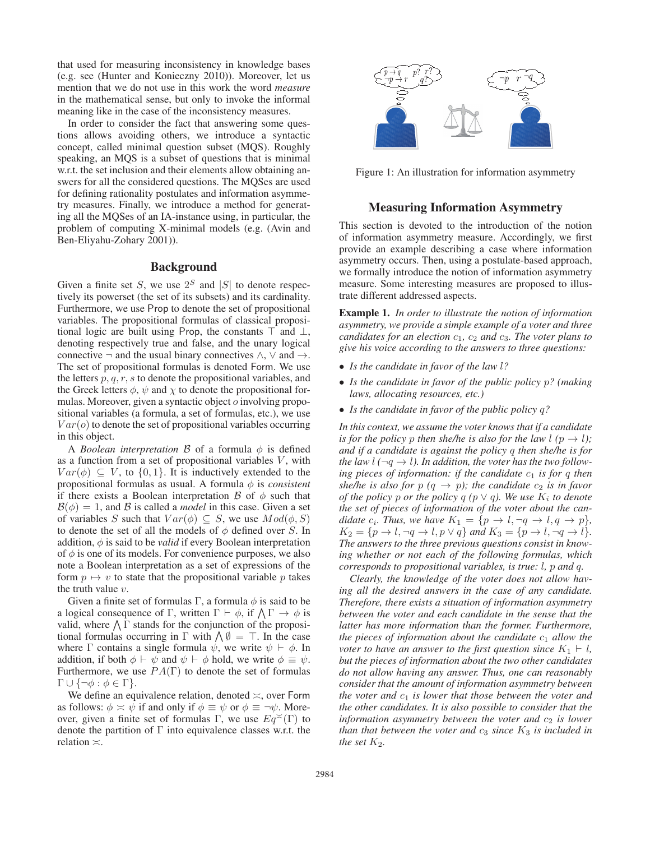that used for measuring inconsistency in knowledge bases (e.g. see (Hunter and Konieczny 2010)). Moreover, let us mention that we do not use in this work the word *measure* in the mathematical sense, but only to invoke the informal meaning like in the case of the inconsistency measures.

In order to consider the fact that answering some questions allows avoiding others, we introduce a syntactic concept, called minimal question subset (MQS). Roughly speaking, an MQS is a subset of questions that is minimal w.r.t. the set inclusion and their elements allow obtaining answers for all the considered questions. The MQSes are used for defining rationality postulates and information asymmetry measures. Finally, we introduce a method for generating all the MQSes of an IA-instance using, in particular, the problem of computing X-minimal models (e.g. (Avin and Ben-Eliyahu-Zohary 2001)).

## Background

Given a finite set S, we use  $2<sup>S</sup>$  and |S| to denote respectively its powerset (the set of its subsets) and its cardinality. Furthermore, we use Prop to denote the set of propositional variables. The propositional formulas of classical propositional logic are built using Prop, the constants  $\top$  and  $\bot$ , denoting respectively true and false, and the unary logical connective  $\neg$  and the usual binary connectives  $\land$ ,  $\lor$  and  $\rightarrow$ . The set of propositional formulas is denoted Form. We use the letters  $p, q, r, s$  to denote the propositional variables, and the Greek letters  $\phi$ ,  $\psi$  and  $\chi$  to denote the propositional formulas. Moreover, given a syntactic object o involving propositional variables (a formula, a set of formulas, etc.), we use  $Var(o)$  to denote the set of propositional variables occurring in this object.

A *Boolean interpretation*  $\beta$  of a formula  $\phi$  is defined as a function from a set of propositional variables  $V$ , with  $Var(\phi) \subseteq V$ , to  $\{0, 1\}$ . It is inductively extended to the propositional formulas as usual. A formula  $\phi$  is *consistent* if there exists a Boolean interpretation  $\beta$  of  $\phi$  such that  $\mathcal{B}(\phi)=1$ , and  $\beta$  is called a *model* in this case. Given a set of variables S such that  $Var(\phi) \subseteq S$ , we use  $Mod(\phi, S)$ to denote the set of all the models of  $\phi$  defined over S. In addition,  $\phi$  is said to be *valid* if every Boolean interpretation of  $\phi$  is one of its models. For convenience purposes, we also note a Boolean interpretation as a set of expressions of the form  $p \mapsto v$  to state that the propositional variable p takes the truth value  $v$ .

Given a finite set of formulas Γ, a formula  $\phi$  is said to be a logical consequence of  $\Gamma$ , written  $\Gamma \vdash \phi$ , if  $\Lambda \Gamma \rightarrow \phi$  is valid, where  $\bigwedge \Gamma$  stands for the conjunction of the propositional formulas occurring in  $\Gamma$  with  $\Lambda \emptyset = \top$ . In the case where  $\Gamma$  contains a single formula  $\psi$ , we write  $\psi \vdash \phi$ . In addition, if both  $\phi \vdash \psi$  and  $\psi \vdash \phi$  hold, we write  $\phi \equiv \psi$ . Furthermore, we use  $PA(\Gamma)$  to denote the set of formulas  $\Gamma \cup \{\neg \phi : \phi \in \Gamma\}.$ 

We define an equivalence relation, denoted  $\asymp$ , over Form as follows:  $\phi \approx \psi$  if and only if  $\phi \equiv \psi$  or  $\phi \equiv \neg \psi$ . Moreover, given a finite set of formulas Γ, we use  $Eq<sup>{\sim}</sup>(\Gamma)$  to denote the partition of  $\Gamma$  into equivalence classes w.r.t. the relation  $\asymp$ .



Figure 1: An illustration for information asymmetry

## Measuring Information Asymmetry

This section is devoted to the introduction of the notion of information asymmetry measure. Accordingly, we first provide an example describing a case where information asymmetry occurs. Then, using a postulate-based approach, we formally introduce the notion of information asymmetry measure. Some interesting measures are proposed to illustrate different addressed aspects.

Example 1. *In order to illustrate the notion of information asymmetry, we provide a simple example of a voter and three candidates for an election*  $c_1$ *,*  $c_2$  *and*  $c_3$ *. The voter plans to give his voice according to the answers to three questions:*

- *Is the candidate in favor of the law* l*?*
- *Is the candidate in favor of the public policy* p*? (making laws, allocating resources, etc.)*
- *Is the candidate in favor of the public policy* q*?*

*In this context, we assume the voter knows that if a candidate is for the policy* p *then she/he is also for the law l*  $(p \rightarrow l)$ *; and if a candidate is against the policy* q *then she/he is for the law l* ( $\neg q \rightarrow l$ ). In addition, the voter has the two follow*ing pieces of information: if the candidate*  $c_1$  *is for q then she/he is also for*  $p$  ( $q \rightarrow p$ ); the candidate  $c_2$  *is in favor of the policy* p *or the policy*  $q$  ( $p \lor q$ ). We use  $K_i$  to denote *the set of pieces of information of the voter about the candidate*  $c_i$ *. Thus, we have*  $K_1 = \{p \rightarrow l, \neg q \rightarrow l, q \rightarrow p\}$ *,*  $K_2 = \{p \rightarrow l, \neg q \rightarrow l, p \lor q\}$  and  $K_3 = \{p \rightarrow l, \neg q \rightarrow l\}.$ *The answers to the three previous questions consist in knowing whether or not each of the following formulas, which corresponds to propositional variables, is true:* l*,* p *and* q*.*

*Clearly, the knowledge of the voter does not allow having all the desired answers in the case of any candidate. Therefore, there exists a situation of information asymmetry between the voter and each candidate in the sense that the latter has more information than the former. Furthermore, the pieces of information about the candidate*  $c_1$  *allow the voter to have an answer to the first question since*  $K_1 \vdash l$ , *but the pieces of information about the two other candidates do not allow having any answer. Thus, one can reasonably consider that the amount of information asymmetry between the voter and*  $c_1$  *is lower that those between the voter and the other candidates. It is also possible to consider that the information asymmetry between the voter and*  $c_2$  *is lower than that between the voter and*  $c_3$  *since*  $K_3$  *is included in the set*  $K_2$ *.*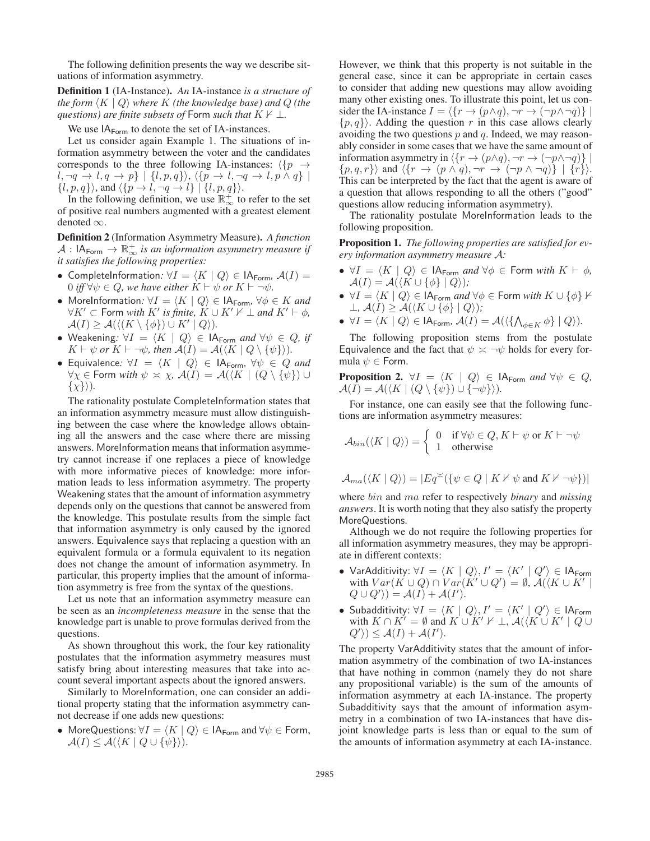The following definition presents the way we describe situations of information asymmetry.

Definition 1 (IA-Instance). *An* IA-instance *is a structure of the form*  $\langle K | Q \rangle$  *where* K *(the knowledge base)* and Q *(the questions) are finite subsets of* Form *such that*  $K \nvdash \bot$ .

We use  $IA_{\text{Form}}$  to denote the set of IA-instances.

Let us consider again Example 1. The situations of information asymmetry between the voter and the candidates corresponds to the three following IA-instances:  $\langle p \rightarrow$  $l, \neg q \rightarrow l, q \rightarrow p$  |  $\{l, p, q\}$ ,  $\langle \{p \rightarrow l, \neg q \rightarrow l, p \wedge q\}$  |  $\{l, p, q\}$ , and  $\langle \{p \rightarrow l, \neg q \rightarrow l\} | \{l, p, q\} \rangle$ .

In the following definition, we use  $\mathbb{R}^+_{\infty}$  to refer to the set of positive real numbers augmented with a greatest element denoted  $\infty$ .

Definition 2 (Information Asymmetry Measure). *A function*  $A: \mathsf{IA}_{\mathsf{Form}} \to \mathbb{R}^+_{\infty}$  is an information asymmetry measure if *it satisfies the following properties:*

- CompleteInformation:  $\forall I = \langle K | Q \rangle \in \mathsf{IA}_{\mathsf{Form}}$ ,  $\mathcal{A}(I) =$ 0 *iff*  $\forall \psi \in Q$ *, we have either*  $K \vdash \psi$  *or*  $K \vdash \neg \psi$ *.*
- MoreInformation:  $\forall I = \langle K | Q \rangle \in \mathsf{IA}_{\mathsf{Form}}$ ,  $\forall \phi \in K$  and  $\forall K' \subset \text{Form with } K' \text{ is finite, } K \cup K' \nvdash \bot \text{ and } K' \vdash \phi,$  $\mathcal{A}(I) \geq \mathcal{A}(\langle (K \setminus \{\phi\}) \cup K' \mid Q \rangle).$
- Weakening:  $\forall I = \langle K | Q \rangle \in \mathsf{IA}_{\mathsf{Form}}$  *and*  $\forall \psi \in Q$ , if  $K \vdash \psi$  *or*  $K \vdash \neg \psi$ *, then*  $\mathcal{A}(I) = \mathcal{A}(\langle K \mid Q \setminus \{\psi\}\rangle)$ *.*
- Equivalence:  $\forall I = \langle K | Q \rangle \in |A_{\text{Form}}, \forall \psi \in Q \text{ and }$  $\forall \chi \in \text{Form with } \psi \asymp \chi$ ,  $\mathcal{A}(I) = \mathcal{A}(\langle K \mid (Q \setminus \{\psi\}) \cup \mathcal{A}(\chi) \rangle)$  $\{\chi\}\rangle$ ).

The rationality postulate CompleteInformation states that an information asymmetry measure must allow distinguishing between the case where the knowledge allows obtaining all the answers and the case where there are missing answers. MoreInformation means that information asymmetry cannot increase if one replaces a piece of knowledge with more informative pieces of knowledge: more information leads to less information asymmetry. The property Weakening states that the amount of information asymmetry depends only on the questions that cannot be answered from the knowledge. This postulate results from the simple fact that information asymmetry is only caused by the ignored answers. Equivalence says that replacing a question with an equivalent formula or a formula equivalent to its negation does not change the amount of information asymmetry. In particular, this property implies that the amount of information asymmetry is free from the syntax of the questions.

Let us note that an information asymmetry measure can be seen as an *incompleteness measure* in the sense that the knowledge part is unable to prove formulas derived from the questions.

As shown throughout this work, the four key rationality postulates that the information asymmetry measures must satisfy bring about interesting measures that take into account several important aspects about the ignored answers.

Similarly to MoreInformation, one can consider an additional property stating that the information asymmetry cannot decrease if one adds new questions:

• MoreQuestions:  $\forall I = \langle K | Q \rangle \in \mathsf{IA}_{\mathsf{Form}}$  and  $\forall \psi \in \mathsf{Form}$ ,  $\mathcal{A}(I) \leq \mathcal{A}(\langle K \mid Q \cup \{\psi\}\rangle).$ 

However, we think that this property is not suitable in the general case, since it can be appropriate in certain cases to consider that adding new questions may allow avoiding many other existing ones. To illustrate this point, let us consider the IA-instance  $I = \langle \{r \rightarrow (p \wedge q), \neg r \rightarrow (\neg p \wedge \neg q) \} \mid$  $\{p,q\}$ . Adding the question r in this case allows clearly avoiding the two questions  $p$  and  $q$ . Indeed, we may reasonably consider in some cases that we have the same amount of information asymmetry in  $\langle \{r \rightarrow (p \land q), \neg r \rightarrow (\neg p \land \neg q)\}\rangle$  $\{p,q,r\}\rangle$  and  $\langle \{r \rightarrow (p \wedge q), \neg r \rightarrow (\neg p \wedge \neg q)\} | \{r\}\rangle.$ This can be interpreted by the fact that the agent is aware of a question that allows responding to all the others ("good" questions allow reducing information asymmetry).

The rationality postulate MoreInformation leads to the following proposition.

Proposition 1. *The following properties are satisfied for every information asymmetry measure* A*:*

- $\forall I = \langle K | Q \rangle \in \mathsf{IA}_{\mathsf{Form}}$  *and*  $\forall \phi \in \mathsf{Form}$  *with*  $K \vdash \phi$ ,  $\mathcal{A}(I) = \mathcal{A}(\langle K \cup {\emptyset} | Q \rangle);$
- $\blacklozenge$  ∀*I* =  $\langle K | Q \rangle \in \mathsf{IA}_{\mathsf{Form}}$  *and* ∀ $\phi \in \mathsf{Form}$  *with*  $K \cup \{\phi\} \nvdash$ <br> $\bot$ ,  $\mathcal{A}(I) \geq \mathcal{A}(\langle K \cup \{\phi\} | Q \rangle)$ ;
- $\bullet \ \ \forall I = \langle K \mid Q \rangle \in \mathsf{IA}_{\mathsf{Form}}$ ,  $\mathcal{A}(I) = \mathcal{A}(\langle \{ \bigwedge_{\phi \in K} \phi \} \mid Q \rangle).$

The following proposition stems from the postulate Equivalence and the fact that  $\psi \approx \neg \psi$  holds for every formula  $\psi \in$  Form.

**Proposition 2.** 
$$
\forall I = \langle K | Q \rangle \in \mathsf{IA}_{\mathsf{Form}} \text{ and } \forall \psi \in Q
$$
,  
 $\mathcal{A}(I) = \mathcal{A}(\langle K | (Q \setminus \{\psi\}) \cup \{\neg \psi\}\rangle).$ 

For instance, one can easily see that the following functions are information asymmetry measures:

$$
\mathcal{A}_{bin}(\langle K \mid Q\rangle) = \left\{ \begin{array}{ll} 0 & \text{if } \forall \psi \in Q, K \vdash \psi \text{ or } K \vdash \neg \psi \\ 1 & \text{otherwise} \end{array} \right.
$$

$$
\mathcal{A}_{ma}(\langle K \mid Q \rangle) = |Eq \check{\sim} (\{\psi \in Q \mid K \nvdash \psi \text{ and } K \nvdash \neg \psi\})|
$$

where bin and ma refer to respectively *binary* and *missing answers*. It is worth noting that they also satisfy the property MoreQuestions.

Although we do not require the following properties for all information asymmetry measures, they may be appropriate in different contexts:

- VarAdditivity:  $\forall I = \langle K | Q \rangle, I' = \langle K' | Q' \rangle \in \mathsf{IA}_{\mathsf{Form}}$ with  $Var(K \cup Q) \cap Var(K' \cup Q') = \emptyset$ ,  $\mathcal{A}(\langle K \cup K' \mid$  $Q \cup Q' \rangle = A(I) + A(I').$
- Subadditivity:  $\forall I = \langle K | Q \rangle, I' = \langle K' | Q' \rangle \in \mathsf{IA}_{\mathsf{Form}}$ with  $K \cap K' = \emptyset$  and  $K \cup K' \nvDash \bot$ ,  $\mathcal{A}(\langle K \cup K' \mid Q \cup$  $Q' \rangle \leq A(I) + A(I').$

The property VarAdditivity states that the amount of information asymmetry of the combination of two IA-instances that have nothing in common (namely they do not share any propositional variable) is the sum of the amounts of information asymmetry at each IA-instance. The property Subadditivity says that the amount of information asymmetry in a combination of two IA-instances that have disjoint knowledge parts is less than or equal to the sum of the amounts of information asymmetry at each IA-instance.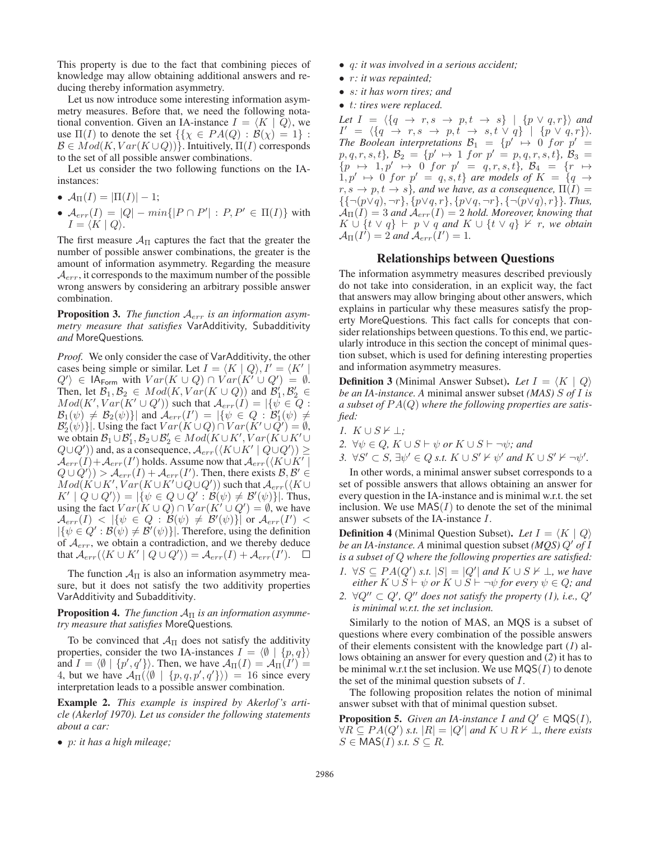This property is due to the fact that combining pieces of knowledge may allow obtaining additional answers and reducing thereby information asymmetry.

Let us now introduce some interesting information asymmetry measures. Before that, we need the following notational convention. Given an IA-instance  $I = \langle K | Q \rangle$ , we use  $\Pi(I)$  to denote the set  $\{\{\chi \in PA(Q) : \mathcal{B}(\chi)=1\}$ :  $\mathcal{B} \in Mod(K, Var(K \cup Q))$ . Intuitively,  $\Pi(I)$  corresponds to the set of all possible answer combinations.

Let us consider the two following functions on the IAinstances:

- $A_{\Pi}(I) = |\Pi(I)| 1;$
- $A_{err}(I) = |Q| min\{|P \cap P'| : P, P' \in \Pi(I)\}\$  with  $I = \langle K | Q \rangle$ .

The first measure  $A_{\Pi}$  captures the fact that the greater the number of possible answer combinations, the greater is the amount of information asymmetry. Regarding the measure  $A_{err}$ , it corresponds to the maximum number of the possible wrong answers by considering an arbitrary possible answer combination.

Proposition 3. *The function* Aerr *is an information asymmetry measure that satisfies* VarAdditivity*,* Subadditivity *and* MoreQuestions*.*

*Proof.* We only consider the case of VarAdditivity, the other cases being simple or similar. Let  $I = \langle K | Q \rangle, I' = \langle K' |$  $Q' \rangle \in \mathsf{IA}_{\mathsf{Form}}$  with  $Var(K \cup Q) \cap Var(K' \cup Q') = \emptyset$ . Then, let  $\mathcal{B}_1, \mathcal{B}_2 \in Mod(K, Var(K \cup Q))$  and  $\mathcal{B}'_1, \mathcal{B}'_2 \in$  $Mod(K', Var(K' \cup Q'))$  such that  $\mathcal{A}_{err}(I) = |\{\psi \in Q :$  $\mathcal{B}_1(\psi) \neq \mathcal{B}_2(\psi)$ } and  $\mathcal{A}_{err}(I') = |\{\psi \in Q : \mathcal{B}'_1(\psi) \neq \emptyset\}$  $\mathcal{B}_2(\psi)$  |. Using the fact  $Var(K \cup Q) \cap Var(K' \cup Q') = \emptyset$ , we obtain  $\mathcal{B}_1 \cup \mathcal{B}_1', \mathcal{B}_2 \cup \mathcal{B}_2' \in Mod(K \cup K', Var(K \cup K') \cup K')$  $(Q\cup Q')$ ) and, as a consequence,  $\mathcal{A}_{err}(\langle K\cup K' \mid Q\cup Q'\rangle) \geq$  $\mathcal{A}_{err}(I) + \mathcal{A}_{err}(I')$  holds. Assume now that  $\mathcal{A}_{err}(\langle K \cup K' \rangle)$  $Q \cup Q' \rangle > \mathcal{A}_{err}(I) + \mathcal{A}_{err}(I')$ . Then, there exists  $\mathcal{B}, \mathcal{B}' \in$  $Mod(K \cup K', Var(K \cup K' \cup Q \cup Q'))$  such that  ${\mathcal A_{err}}(K \cup$  $K' | Q \cup Q' \rangle = |\{\psi \in Q \cup Q' : \mathcal{B}(\psi) \neq \mathcal{B}'(\psi)\}|.$  Thus, using the fact  $Var(K \cup Q) \cap Var(K' \cup Q') = \emptyset$ , we have  ${\cal A}_{err}(I) \; < \; \left| \{ \psi \; \in \; Q \, : \, \breve{\cal B}(\psi) \; \neq \; \breve{\cal B}'(\psi) \} \right| \; \hbox{or} \; {\cal A}_{err}(I') \; < \;$  $|\{\psi \in Q': \mathcal{B}(\psi) \neq \mathcal{B}'(\psi)\}|$ . Therefore, using the definition of  $A_{err}$ , we obtain a contradiction, and we thereby deduce that  $\mathcal{A}_{err}(\langle K \cup K' \mid Q \cup Q' \rangle) = \mathcal{A}_{err}(I) + \mathcal{A}_{err}(I').$ 

The function  $\mathcal{A}_{\Pi}$  is also an information asymmetry measure, but it does not satisfy the two additivity properties VarAdditivity and Subadditivity.

**Proposition 4.** *The function*  $A<sub>Π</sub>$  *is an information asymmetry measure that satisfies* MoreQuestions*.*

To be convinced that  $\mathcal{A}_{\Pi}$  does not satisfy the additivity properties, consider the two IA-instances  $I = \langle \emptyset | \{p, q\} \rangle$ and  $I = \langle \emptyset | {\{p', q'\}} \rangle$ . Then, we have  $\mathcal{A}_{\Pi}(I) = \mathcal{A}_{\Pi}(I') =$ 4, but we have  $\mathcal{A}_{\Pi}(\langle \emptyset | \{p,q,p',q'\}\rangle) = 16$  since every interpretation leads to a possible answer combination.

Example 2. *This example is inspired by Akerlof 's article (Akerlof 1970). Let us consider the following statements about a car:*

• p*: it has a high mileage;*

- q*: it was involved in a serious accident;*
- r*: it was repainted;*
- s*: it has worn tires; and*
- t*: tires were replaced.*

*Let*  $I = \langle \{q \rightarrow r, s \rightarrow p, t \rightarrow s\} | \{p \vee q, r\} \rangle$  and  $I' = \langle \{q \rightarrow r, s \rightarrow p, t \rightarrow s, t \vee q\} | \{p \vee q, r\} \rangle.$ *The Boolean interpretations*  $B_1 = \{p' \mapsto 0 \text{ for } p' = 1\}$  $p, q, r, s, t$ *}*,  $\mathcal{B}_2 = \{p' \mapsto 1 \text{ for } p' = p, q, r, s, t\}$ ,  $\mathcal{B}_3 =$  ${p \mapsto 1, p' \mapsto 0 \text{ for } p' = q, r, s, t}, \mathcal{B}_4 = {r \mapsto 0}$  $1, p' \mapsto 0$  for  $p' = q, s, t$  *are models of*  $K = \{q \rightarrow$  $r, s \rightarrow p, t \rightarrow s$ *}, and we have, as a consequence,*  $\Pi(I) =$ {{¬(p∨q), ¬r}, {p∨q, r}, {p∨q, ¬r}, {¬(p∨q), r}}*. Thus,*  $A_{\Pi}(I)=3$  and  $A_{err}(I)=2$  hold. Moreover, knowing that  $K \cup \{t \vee q\} \vdash p \vee q$  and  $K \cup \{t \vee q\} \nvdash r$ , we obtain  $\mathcal{A}_{\Pi}(I) = 2$  and  $\mathcal{A}_{err}(I') = 1$ .

## Relationships between Questions

The information asymmetry measures described previously do not take into consideration, in an explicit way, the fact that answers may allow bringing about other answers, which explains in particular why these measures satisfy the property MoreQuestions. This fact calls for concepts that consider relationships between questions. To this end, we particularly introduce in this section the concept of minimal question subset, which is used for defining interesting properties and information asymmetry measures.

**Definition 3** (Minimal Answer Subset). Let  $I = \langle K | Q \rangle$ *be an IA-instance. A* minimal answer subset *(MAS)* S *of* I *is a subset of* P A(Q) *where the following properties are satisfied:*

- $I. K \cup S \nvdash \bot;$
- *2.*  $\forall \psi \in Q$ ,  $K \cup S \vdash \psi$  or  $K \cup S \vdash \neg \psi$ *; and*
- *3.*  $\forall S' \subset S$ ,  $\exists \psi' \in Q$  *s.t.*  $K \cup S' \nvdash \psi'$  and  $K \cup S' \nvdash \neg \psi'.$

In other words, a minimal answer subset corresponds to a set of possible answers that allows obtaining an answer for every question in the IA-instance and is minimal w.r.t. the set inclusion. We use  $MAS(I)$  to denote the set of the minimal answer subsets of the IA-instance I.

**Definition 4** (Minimal Question Subset). Let  $I = \langle K | Q \rangle$ *be an IA-instance. A minimal question subset*  $(MOS) Q'$  *of I is a subset of* Q *where the following properties are satisfied:*

- *1.* ∀S  $\subseteq PA(Q')$  *s.t.*  $|S| = |Q'|$  *and*  $K \cup S \nvdash \bot$ *, we have either*  $K \cup S \vdash \psi$  *or*  $K \cup S \vdash \neg \psi$  *for every*  $\psi \in Q$ *; and*
- 2.  $\forall Q'' \subset Q'$ ,  $Q''$  does not satisfy the property (1), i.e.,  $Q'$ *is minimal w.r.t. the set inclusion.*

Similarly to the notion of MAS, an MQS is a subset of questions where every combination of the possible answers of their elements consistent with the knowledge part (*1*) allows obtaining an answer for every question and (*2*) it has to be minimal w.r.t the set inclusion. We use  $MQS(I)$  to denote the set of the minimal question subsets of I.

The following proposition relates the notion of minimal answer subset with that of minimal question subset.

**Proposition 5.** *Given an IA-instance I and*  $Q' \in \text{MQS}(I)$ *,*  $\forall R \subseteq PA(Q') \text{ s.t. } |R| = |Q'| \text{ and } K \cup R \nvdash \bot \text{, there exists }$  $S \in \text{MAS}(I) \text{ s.t. } S \subseteq R$ .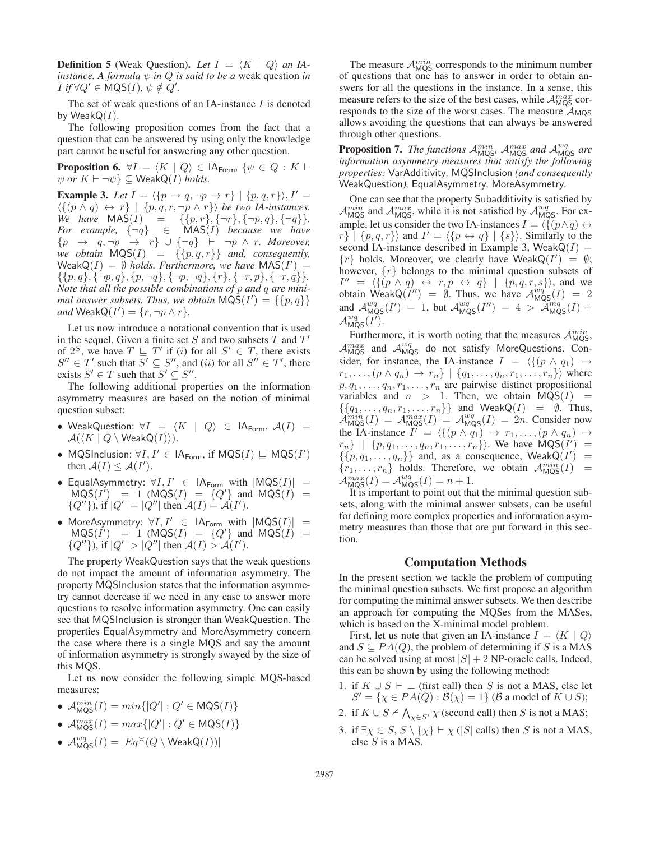**Definition 5** (Weak Question). Let  $I = \langle K | Q \rangle$  an IA*instance. A formula*  $\psi$  *in*  $Q$  *is said to be a* weak question *in*  $I$  *if*  $\forall Q' \in \text{MQS}(I), \psi \notin Q'.$ 

The set of weak questions of an IA-instance  $I$  is denoted by Weak $Q(I)$ .

The following proposition comes from the fact that a question that can be answered by using only the knowledge part cannot be useful for answering any other question.

**Proposition 6.**  $\forall I = \langle K | Q \rangle \in |A_{\text{Form}}, \{\psi \in Q : K \vdash \emptyset\}$  $\psi$  or  $K \vdash \neg \psi$   $\subseteq$  WeakQ(*I*) *holds.* 

**Example 3.** Let  $I = \langle \{p \rightarrow q, \neg p \rightarrow r\} | \{p, q, r\} \rangle, I' =$  $\langle \{ (p \land q) \leftrightarrow r \} | \{p, q, r, \neg p \land r \} \rangle$  *be two IA-instances.*  $\overrightarrow{We}$   $have$   $\overrightarrow{MAS}(I) = \{\{p, r\}, \{\neg r\}, \{\neg p, q\}, \{\neg q\}\}.$  $For example, \{\neg q\} \in \widehat{\text{MAS}(I)}$  *because we have*  ${p \rightarrow q, \neg p \rightarrow r} \cup {\neg q} \vdash \neg p \land r$ *. Moreover, we obtain*  $MQS(I) = \{\{p, q, r\}\}\$  *and, consequently,*  $\text{WeakQ}(I) = \emptyset$  *holds. Furthermore, we have*  $\text{MAS}(I') =$  $\{\{p,q\},\{\neg p,q\},\{p,\neg q\},\{\neg p,\neg q\},\{r\},\{\neg r,p\},\{\neg r,q\}\}.$ *Note that all the possible combinations of* p *and* q *are minimal answer subsets. Thus, we obtain*  $\overrightarrow{MQS}(I') = \{\{p,q\}\}\$  $and$  Weak $Q(I') = \{r, \neg p \land r\}.$ 

Let us now introduce a notational convention that is used in the sequel. Given a finite set S and two subsets  $T$  and  $T'$ of  $2^S$ , we have  $T \subseteq T'$  if (i) for all  $S' \in T$ , there exists  $S'' \in T'$  such that  $S' \subseteq S''$ , and (ii) for all  $S'' \in T'$ , there exists  $S' \in T$  such that  $S' \subseteq S''$ .

The following additional properties on the information asymmetry measures are based on the notion of minimal question subset:

- WeakQuestion:  $\forall I = \langle K | Q \rangle \in \mathsf{IA}_{\mathsf{Form}}$ ,  $\mathcal{A}(I) =$  $\mathcal{A}(\langle K \mid Q \setminus \mathsf{WeakQ}(I) \rangle).$
- MQSInclusion:  $\forall I, I' \in IA_{\text{Form}}$ , if  $MQS(I) \sqsubseteq MQS(I')$ then  $\mathcal{A}(I) \leq \mathcal{A}(I')$ .
- EqualAsymmetry:  $\forall I, I' \in IA_{\text{Form}}$  with  $|MQS(I)| =$  $|\overline{M}QS(I^{\prime})| = 1$  ( $\overline{M}QS(I) = \overline{Q'}\}$  and  $\overline{M}QS(I) =$  $\{Q''\}\)$ , if  $|Q'| = |Q''|$  then  $\mathcal{A}(I) = \mathcal{A}(I')$ .
- MoreAsymmetry:  $\forall I, I' \in |A_{\text{Form}} \text{ with } |MQS(I)| =$  $|MQS(I')| = 1$  ( $MQS(I) = {Q'}$  and  $MQS(I) =$  $\{Q''\}\)$ , if  $|Q'| > |Q''|$  then  $\mathcal{A}(I) > \mathcal{A}(I')$ .

The property WeakQuestion says that the weak questions do not impact the amount of information asymmetry. The property MQSInclusion states that the information asymmetry cannot decrease if we need in any case to answer more questions to resolve information asymmetry. One can easily see that MQSInclusion is stronger than WeakQuestion. The properties EqualAsymmetry and MoreAsymmetry concern the case where there is a single MQS and say the amount of information asymmetry is strongly swayed by the size of this MQS.

Let us now consider the following simple MQS-based measures:

- $\mathcal{A}_{\text{MQS}}^{min}(I) = min\{|Q'| : Q' \in \text{MQS}(I)\}\$
- $\mathcal{A}_{\text{MQS}}^{max}(I) = max\{|Q'| : Q' \in \text{MQS}(I)\}\$
- $\mathcal{A}^{wq}_{\textsf{MQS}}(I) = |Eq \breve{=} (Q \setminus \textsf{WeakQ}(I))|$

The measure  $\mathcal{A}_{\text{MQS}}^{min}$  corresponds to the minimum number of questions that one has to answer in order to obtain answers for all the questions in the instance. In a sense, this measure refers to the size of the best cases, while  $\mathcal{A}_{\text{MQS}}^{max}$  corresponds to the size of the worst cases. The measure  $A_{MQS}$ allows avoiding the questions that can always be answered through other questions.

**Proposition 7.** The functions  $\mathcal{A}_{MQS}^{min}$ ,  $\mathcal{A}_{MQS}^{max}$  and  $\mathcal{A}_{MQS}^{wg}$  are *information asymmetry measures that satisfy the following properties:* VarAdditivity*,* MQSInclusion *(and consequently* WeakQuestion*),* EqualAsymmetry*,* MoreAsymmetry*.*

One can see that the property Subadditivity is satisfied by  $\mathcal{A}_{\text{MQS}}^{min}$  and  $\mathcal{A}_{\text{MQS}}^{max}$ , while it is not satisfied by  $\mathcal{A}_{\text{MQS}}^{wq}$ . For example, let us consider the two IA-instances  $I = \langle \{ (p \land q) \leftrightarrow \} \rangle$  $r\} | \{p, q, r\} \rangle$  and  $I' = \langle \{p \leftrightarrow q\} | \{s\} \rangle$ . Similarly to the second IA-instance described in Example 3, Weak $Q(I)$  =  $\{r\}$  holds. Moreover, we clearly have WeakQ( $I'$ ) =  $\emptyset$ ; however,  $\{r\}$  belongs to the minimal question subsets of  $I'' = \langle \{ (p \wedge q) \leftrightarrow r, p \leftrightarrow q \} | \{p, q, r, s \} \rangle$ , and we obtain WeakQ $(I'') = \emptyset$ . Thus, we have  $\mathcal{A}_{MQS}^{wq'}(I) = 2$ and  $\mathcal{A}_{\text{MQS}}^{wg}(I') = 1$ , but  $\mathcal{A}_{\text{MQS}}^{wg}(I'') = 4 > \widetilde{\mathcal{A}}_{\text{MQS}}^{mg}(I) +$  $\mathcal{A}^{wq}_{\text{MQS}}(I').$ 

Furthermore, it is worth noting that the measures  $\mathcal{A}_{MQS}^{min}$ ,  $A_{MQS}^{max}$  and  $A_{MQS}^{wq}$  do not satisfy MoreQuestions. Consider, for instance, the IA-instance  $I = \langle \{ (p \land q_1) \rightarrow$  $r_1, \ldots, (p \wedge q_n) \rightarrow r_n \} | \{q_1, \ldots, q_n, r_1, \ldots, r_n\} \rangle$  where  $p, q_1, \ldots, q_n, r_1, \ldots, r_n$  are pairwise distinct propositional variables and  $n > 1$ . Then, we obtain  $MQS(I)$  =  $\{\{q_1,\ldots,q_n,r_1,\ldots,r_n\}\}\$ and Weak $Q(I) = \emptyset$ . Thus,  $\mathcal{A}_{\text{MQS}}^{min}(I) = \mathcal{A}_{\text{MQS}}^{max}(I) = \mathcal{A}_{\text{MQS}}^{wg}(I) = 2n$ . Consider now the IA-instance  $I' = \langle \{ (p \land q_1) \rightarrow r_1, \dots, (p \land q_n) \rightarrow$  $r_n\}$  | { $p, q_1, \ldots, q_n, r_1, \ldots, r_n$ }. We have  $MQS(I') =$  $\{p, q_1, \ldots, q_n\}\}\$  and, as a consequence, WeakQ( $I'$ ) =  $\{r_1, \ldots, r_n\}$  holds. Therefore, we obtain  $\mathcal{A}_{\text{MQS}}^{min}(I)$  =  $\mathcal{A}_{\text{MQS}}^{max}(I) = \mathcal{A}_{\text{MQS}}^{wq}(I) = n + 1.$ 

It is important to point out that the minimal question subsets, along with the minimal answer subsets, can be useful for defining more complex properties and information asymmetry measures than those that are put forward in this section.

#### Computation Methods

In the present section we tackle the problem of computing the minimal question subsets. We first propose an algorithm for computing the minimal answer subsets. We then describe an approach for computing the MQSes from the MASes, which is based on the X-minimal model problem.

First, let us note that given an IA-instance  $I = \langle K | Q \rangle$ and  $S \subseteq PA(Q)$ , the problem of determining if S is a MAS can be solved using at most  $|S| + 2$  NP-oracle calls. Indeed, this can be shown by using the following method:

- 1. if  $K \cup S \vdash \bot$  (first call) then S is not a MAS, else let  $S' = \{ \chi \in PA(Q) : B(\chi) = 1 \}$  (B a model of  $K \cup S$ );
- 2. if  $K \cup S \nvdash \bigwedge_{\chi \in S'} \chi$  (second call) then S is not a MAS;
- 3. if  $\exists \chi \in S$ ,  $S \setminus {\{\chi\}} \vdash \chi$  (|S| calls) then S is not a MAS, else S is a MAS.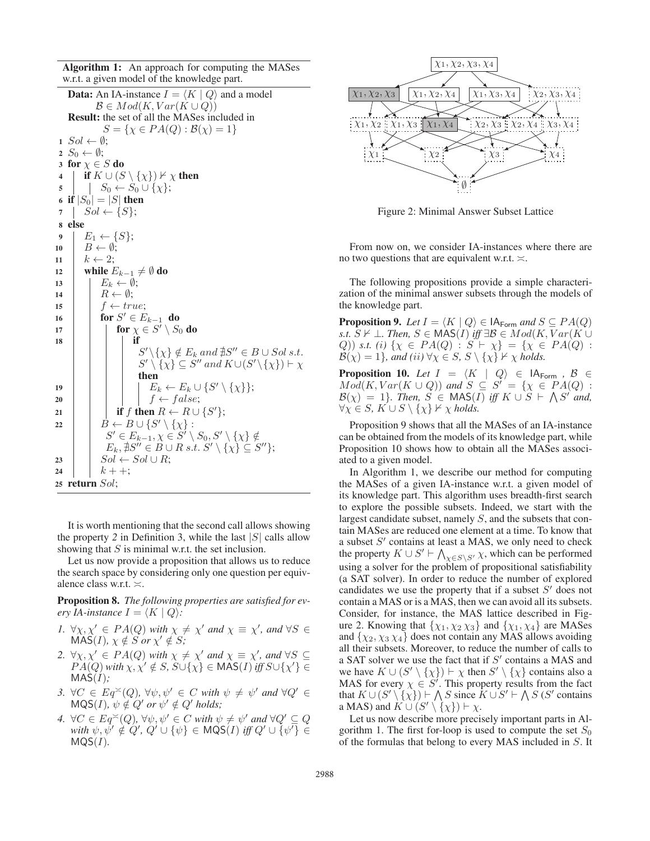Algorithm 1: An approach for computing the MASes w.r.t. a given model of the knowledge part.

**Data:** An IA-instance  $I = \langle K | Q \rangle$  and a model  $\mathcal{B} \in Mod(K, Var(K \cup Q))$ Result: the set of all the MASes included in  $S = \{ \chi \in PA(Q) : B(\chi) = 1 \}$  $1\;\; Sol \leftarrow \emptyset;$ 2  $S_0 \leftarrow \emptyset;$ 3 for  $\chi \in S$  do 4 | if  $K \cup (S \setminus \{\chi\}) \nvdash \chi$  then  $\mathfrak{s}$  |  $S_0 \leftarrow S_0 \cup \{\chi\};$ 6 if  $|S_0| = |S|$  then  $7 \mid Sol \leftarrow \{S\};$ 8 else 9  $E_1 \leftarrow \{S\};$ 10  $B \leftarrow \emptyset$ ;  $11 \mid k \leftarrow 2;$ 12 while  $E_{k-1} \neq \emptyset$  do 13  $E_k \leftarrow \emptyset;$ 14 |  $R \leftarrow \emptyset;$ 15  $\vert \vert$  f  $\leftarrow true;$ 16 for  $S' \in E_{k-1}$  do 17  $\left|\begin{array}{c} \end{array}\right|$  for  $\chi \in S' \setminus S_0$  do 18 **if**  $S' \setminus \{\chi\} \notin E_k$  and  $\sharp S'' \in B \cup Sol \ s.t.$  $S' \setminus \{ \chi \} \subseteq \hat{S}''$  and  $K \cup (S' \setminus \{ \chi \}) \vdash \chi$ then 19  $\vert \vert \vert \vert$   $\vert E_k \leftarrow E_k \cup \{S' \setminus \{\chi\}\};$ 20 | | |  $f \leftarrow false;$ 21 if f then  $R \leftarrow R \cup \{S'\};$ 22  $\vert \quad \vert \quad B \leftarrow B \cup \{S' \setminus \{\chi\} :$  $S' \in E_{k-1}, \chi \in S' \setminus S_0, S' \setminus {\{\chi\}} \notin$  $E_k, \nexists S'' \in \overline{B} \cup R \ s.t. \ S' \setminus {\{\chi\}} \subseteq S''\};$  $23 \mid Sol \leftarrow Sol \cup R;$ 24 |  $k + 1;$ <sup>25</sup> return Sol;

It is worth mentioning that the second call allows showing the property 2 in Definition 3, while the last  $|S|$  calls allow showing that  $S$  is minimal w.r.t. the set inclusion.

Let us now provide a proposition that allows us to reduce the search space by considering only one question per equivalence class w.r.t.  $\asymp$ .

Proposition 8. *The following properties are satisfied for every IA-instance*  $I = \langle K | Q \rangle$ *:* 

- *1.*  $\forall \chi, \chi' \in PA(Q)$  *with*  $\chi \neq \chi'$  *and*  $\chi \equiv \chi'$ *, and*  $\forall S \in$  $MAS(I), \chi \notin S \text{ or } \chi' \notin S;$
- 2.  $\forall \chi, \chi' \in PA(Q)$  *with*  $\chi \neq \chi'$  *and*  $\chi \equiv \chi'$ *, and*  $\forall S \subseteq$  $\overline{PA(Q)}$  with  $\chi, \chi' \notin S$ ,  $\overline{S \cup {\{\chi\}}} \in MAS(I)$  *iff*  $S \cup {\{\chi'\}} \subseteq$ MAS(I)*;*
- *3.*  $\forall C \in Eq^{\times}(Q)$ ,  $\forall \psi, \psi' \in C$  with  $\psi \neq \psi'$  and  $\forall Q' \in$  $MQS(I), \psi \notin Q'$  or  $\psi' \notin Q'$  holds;
- *4.*  $\forall C \in Eq^{\times}(Q)$ ,  $\forall \psi, \psi' \in C$  *with*  $\psi \neq \psi'$  *and*  $\forall Q' \subseteq Q$  $\text{with } \psi, \psi' \notin Q', Q' \cup \{\psi\} \in \text{MQS}(I) \text{ iff } Q' \cup \{\psi'\} \in$  $MQS(I)$ *.*



Figure 2: Minimal Answer Subset Lattice

From now on, we consider IA-instances where there are no two questions that are equivalent w.r.t.  $\asymp$ .

The following propositions provide a simple characterization of the minimal answer subsets through the models of the knowledge part.

**Proposition 9.** *Let*  $I = \langle K | Q \rangle \in IA_{\text{Form}}$  *and*  $S \subseteq PA(Q)$ *s.t.*  $S \nvDash \bot$ *. Then,*  $S \in \mathsf{MAS}(I)$  *iff* ∃ $B \in Mod(K, Var(K \cup$ Q)) *s.t.* (*i*) { $\chi \in PA(Q)$  :  $S \vdash \chi$ } = { $\chi \in PA(Q)$  :  $\mathcal{B}(\chi) = 1$ , and (*ii*)  $\forall \chi \in S$ ,  $S \setminus {\{\chi\}} \nvdash \chi$  holds.

**Proposition 10.** *Let*  $I = \langle K | Q \rangle \in |A_{\text{Form}}|$ ,  $B \in$  $Mod(K, Var(K \cup Q))$  and  $S \subseteq S' = \{ \chi \in PA(Q) :$  $\mathcal{B}(\chi) = 1$ . Then,  $S \in \text{MAS}(\overline{I})$  iff  $K \cup S \vdash \bigwedge S'$  and,  $\forall \chi \in S$ ,  $K \cup S \setminus {\{\chi\}} \nvdash \chi$  holds.

Proposition 9 shows that all the MASes of an IA-instance can be obtained from the models of its knowledge part, while Proposition 10 shows how to obtain all the MASes associated to a given model.

In Algorithm 1, we describe our method for computing the MASes of a given IA-instance w.r.t. a given model of its knowledge part. This algorithm uses breadth-first search to explore the possible subsets. Indeed, we start with the largest candidate subset, namely S, and the subsets that contain MASes are reduced one element at a time. To know that a subset  $S'$  contains at least a MAS, we only need to check the property  $K \cup S' \vdash \bigwedge_{\chi \in S \setminus S'} \chi$ , which can be performed using a solver for the problem of propositional satisfiability (a SAT solver). In order to reduce the number of explored candidates we use the property that if a subset  $S'$  does not contain a MAS or is a MAS, then we can avoid all its subsets. Consider, for instance, the MAS lattice described in Figure 2. Knowing that  $\{\chi_1, \chi_2 \chi_3\}$  and  $\{\chi_1, \chi_4\}$  are MASes and  $\{ \chi_2, \chi_3 \chi_4 \}$  does not contain any MAS allows avoiding all their subsets. Moreover, to reduce the number of calls to a SAT solver we use the fact that if  $S'$  contains a MAS and we have  $K \cup (S' \setminus \{\chi\}) \vdash \chi$  then  $S' \setminus \{\chi\}$  contains also a MAS for every  $\chi \in S'$ . This property results from the fact that  $K \cup (S' \setminus \{ \chi \}) \vdash \bigwedge S$  since  $K \cup S' \vdash \bigwedge S$  (S' contains a MAS) and  $K \cup (S' \setminus \{\chi\}) \vdash \chi$ .

Let us now describe more precisely important parts in Algorithm 1. The first for-loop is used to compute the set  $S_0$ of the formulas that belong to every MAS included in S. It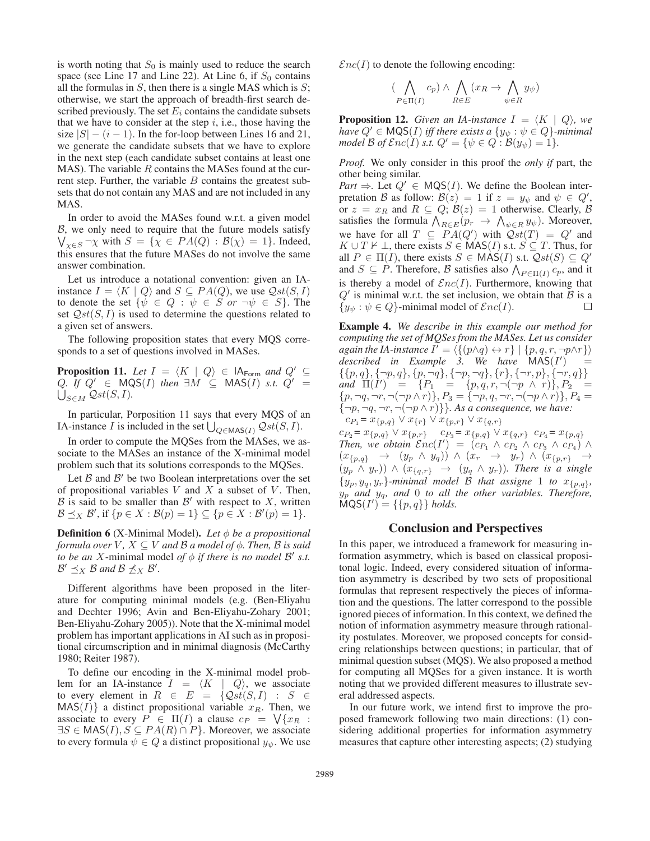is worth noting that  $S_0$  is mainly used to reduce the search space (see Line 17 and Line 22). At Line 6, if  $S_0$  contains all the formulas in  $S$ , then there is a single MAS which is  $S$ ; otherwise, we start the approach of breadth-first search described previously. The set  $E_i$  contains the candidate subsets that we have to consider at the step  $i$ , i.e., those having the size  $|S| - (i - 1)$ . In the for-loop between Lines 16 and 21, we generate the candidate subsets that we have to explore in the next step (each candidate subset contains at least one  $MAS$ ). The variable  $R$  contains the MASes found at the current step. Further, the variable  $B$  contains the greatest subsets that do not contain any MAS and are not included in any MAS.

In order to avoid the MASes found w.r.t. a given model B , we only need to require that the future models satisfy  $\bigvee_{\chi \in S} \neg \chi$  with  $S = \{ \chi \in PA(Q) : B(\chi) = 1 \}$ . Indeed, this ensures that the future MASes do not involve the same answer combination.

Let us introduce a notational convention: given an IAinstance  $I = \langle K | Q \rangle$  and  $S \subseteq PA(Q)$ , we use  $Qst(S, I)$ to denote the set  $\{\psi \in Q : \psi \in S \text{ or } \neg \psi \in S\}$ . The set  $Qst(S, I)$  is used to determine the questions related to a given set of answers.

The following proposition states that every MQS corresponds to a set of questions involved in MASes.

**Proposition 11.** Let  $I = \langle K | Q \rangle \in |A_{\text{Form}}|$  and  $Q' \subseteq$  $Q$ . If  $Q' \in \text{MQS}(I)$  then  $\exists M \subseteq \text{MAS}(I)$  *s.t.*  $Q' =$  $\bigcup_{S\in M} \mathcal{Q}st(S,I).$ 

In particular, Porposition 11 says that every MQS of an IA-instance *I* is included in the set  $\bigcup_{Q \in \text{MAS}(I)} \mathcal{Q}st(S, I)$ .

In order to compute the MQSes from the MASes, we associate to the MASes an instance of the X-minimal model problem such that its solutions corresponds to the MQSes.

Let  $\beta$  and  $\beta'$  be two Boolean interpretations over the set of propositional variables  $V$  and  $X$  a subset of  $V$ . Then,  $\mathcal B$  is said to be smaller than  $\mathcal B'$  with respect to X, written  $\mathcal{B} \preceq_X \mathcal{B}'$ , if  $\{p \in X : \mathcal{B}(p) = 1\} \subseteq \{p \in X : \mathcal{B}'(p) = 1\}.$ 

**Definition 6** (X-Minimal Model). *Let* φ *be a propositional formula over* V,  $X \subseteq V$  *and*  $B$  *a model of*  $\phi$ *. Then,*  $B$  *is said to be an* X-minimal model *of*  $\phi$  *if there is no model*  $\mathcal{B}'$  *s.t.*  $\mathcal{B}' \preceq_X \mathcal{B}$  and  $\mathcal{B} \npreceq_X \mathcal{B}'$ .

Different algorithms have been proposed in the literature for computing minimal models (e.g. (Ben-Eliyahu and Dechter 1996; Avin and Ben-Eliyahu-Zohary 2001; Ben-Eliyahu-Zohary 2005)). Note that the X-minimal model problem has important applications in AI such as in propositional circumscription and in minimal diagnosis (McCarthy 1980; Reiter 1987).

To define our encoding in the X-minimal model problem for an IA-instance  $I = \langle K | Q \rangle$ , we associate to every element in  $R \in E = \{Qst(S,I) : S \in$  $MAS(I)$  a distinct propositional variable  $x_R$ . Then, we associate to every  $P \in \Pi(I)$  a clause  $c_P = \sqrt{\{x_R :$  $\exists S \in \text{MAS}(I), S \subseteq \text{PA}(R) \cap P$ . Moreover, we associate to every formula  $\psi \in Q$  a distinct propositional  $y_{\psi}$ . We use  $\mathcal{E}nc(I)$  to denote the following encoding:

$$
(\bigwedge_{P \in \Pi(I)} c_p) \land \bigwedge_{R \in E} (x_R \to \bigwedge_{\psi \in R} y_{\psi})
$$

**Proposition 12.** *Given an IA-instance*  $I = \langle K | Q \rangle$ *, we have*  $Q' \in \text{MQS}(I)$  *iff there exists a*  $\{y_{\psi} : \psi \in Q\}$ *-minimal model*  $\mathcal{B}$  *of*  $\mathcal{E}nc(I)$  *s.t.*  $Q' = \{\psi \in Q : \mathcal{B}(y_{\psi}) = 1\}.$ 

*Proof.* We only consider in this proof the *only if* part, the other being similar.

*Part*  $\Rightarrow$ . Let  $Q' \in \text{MQS}(I)$ . We define the Boolean interpretation B as follow:  $B(z) = 1$  if  $z = y_{\psi}$  and  $\psi \in Q'$ , or  $z = x_R$  and  $R \subseteq Q$ ;  $\mathcal{B}(z) = 1$  otherwise. Clearly,  $\mathcal{B}$ satisfies the formula  $\bigwedge_{R\in E}(p_r \to \bigwedge_{\psi\in R} y_\psi)$ . Moreover, we have for all  $T \subseteq \overline{PA}(Q')$  with  $\overline{Qst}(T) = Q'$  and  $K \cup T \nvdash \bot$ , there exists  $S \in \text{MAS}(I)$  s.t.  $S \subseteq T$ . Thus, for all  $P \in \Pi(I)$ , there exists  $S \in \text{MAS}(I)$  s.t.  $\mathcal{Q}st(S) \subseteq Q'$ and  $S \subseteq P$ . Therefore, B satisfies also  $\bigwedge_{P \in \Pi(I)} c_p$ , and it is thereby a model of  $\mathcal{E}nc(I)$ . Furthermore, knowing that  $Q'$  is minimal w.r.t. the set inclusion, we obtain that  $B$  is a  ${y_{\psi}: \psi \in Q}$ -minimal model of  $\mathcal{E}nc(I)$ . П

Example 4. *We describe in this example our method for computing the set of MQSes from the MASes. Let us consider again the IA-instance*  $I' = \langle \{ (p \land q) \leftrightarrow r \} | \{p, q, r, \neg p \land r \} \rangle$ *described in Example 3. We have* MAS(I ) =  $\{\{p,q\},\{\neg p,q\},\{p,\neg q\},\{\neg p,\neg q\},\{r\},\{\neg r,p\},\{\neg r,q\}\}\$ *and*  $\Pi(I') = \{P_1 = \{p, q, r, \neg(\neg p \land r)\}, P_2 =$  $\{p, \neg q, \neg r, \neg(\neg p \land r)\}, P_3 = \{\neg p, q, \neg r, \neg(\neg p \land r)\}, P_4 =$  ${\lbrace \neg p, \neg q, \neg r, \neg(\neg p \land r) \rbrace}$ *. As a consequence, we have:*  $c_{P_1} = x_{\{p,q\}} \vee x_{\{r\}} \vee x_{\{p,r\}} \vee x_{\{q,r\}}$ 

 $c_{P_2} = x_{p,q} \vee x_{p,r} \qquad c_{P_3} = x_{p,q} \vee x_{q,r} \qquad c_{P_4} = x_{p,q}$ *Then, we obtain*  $Enc(I') = (c_{P_1} \wedge c_{P_2} \wedge c_{P_3} \wedge c_{P_4}) \wedge$  $(x_{\{p,q\}} \rightarrow (y_p \land y_q)) \land (x_r \rightarrow y_r) \land (x_{\{p,r\}} \rightarrow$  $(y_p \wedge y_r)$ )  $\wedge$   $(x_{\{q,r\}} \rightarrow (y_q \wedge y_r))$ *. There is a single*  ${y_p, y_q, y_r}$ *-minimal model B that assigne* 1 *to*  $x_{\{p,q\}}$ *,* y<sup>p</sup> *and* yq*, and* 0 *to all the other variables. Therefore,*  $MQS(I') = \{\{p, q\}\}\$  *holds.* 

#### Conclusion and Perspectives

In this paper, we introduced a framework for measuring information asymmetry, which is based on classical propositonal logic. Indeed, every considered situation of information asymmetry is described by two sets of propositional formulas that represent respectively the pieces of information and the questions. The latter correspond to the possible ignored pieces of information. In this context, we defined the notion of information asymmetry measure through rationality postulates. Moreover, we proposed concepts for considering relationships between questions; in particular, that of minimal question subset (MQS). We also proposed a method for computing all MQSes for a given instance. It is worth noting that we provided different measures to illustrate several addressed aspects.

In our future work, we intend first to improve the proposed framework following two main directions: (1) considering additional properties for information asymmetry measures that capture other interesting aspects; (2) studying